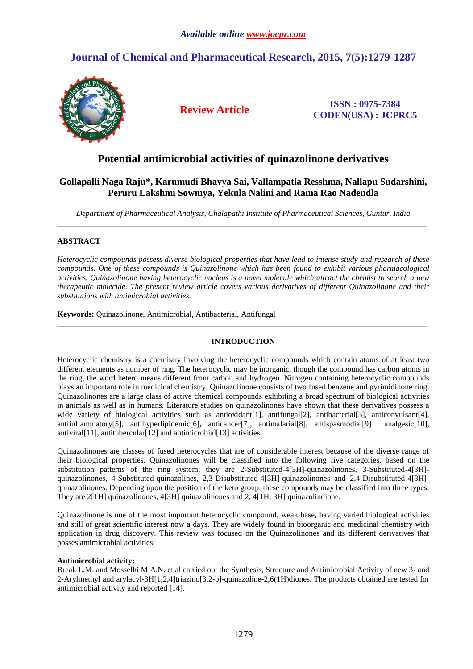# **Journal of Chemical and Pharmaceutical Research, 2015, 7(5):1279-1287**



**Review Article ISSN : 0975-7384 CODEN(USA) : JCPRC5**

## **Potential antimicrobial activities of quinazolinone derivatives**

## **Gollapalli Naga Raju\*, Karumudi Bhavya Sai, Vallampatla Resshma, Nallapu Sudarshini, Peruru Lakshmi Sowmya, Yekula Nalini and Rama Rao Nadendla**

*Department of Pharmaceutical Analysis, Chalapathi Institute of Pharmaceutical Sciences, Guntur, India*  \_\_\_\_\_\_\_\_\_\_\_\_\_\_\_\_\_\_\_\_\_\_\_\_\_\_\_\_\_\_\_\_\_\_\_\_\_\_\_\_\_\_\_\_\_\_\_\_\_\_\_\_\_\_\_\_\_\_\_\_\_\_\_\_\_\_\_\_\_\_\_\_\_\_\_\_\_\_\_\_\_\_\_\_\_\_\_\_\_\_\_\_\_

## **ABSTRACT**

*Heterocyclic compounds possess diverse biological properties that have lead to intense study and research of these compounds. One of these compounds is Quinazolinone which has been found to exhibit various pharmacological activities. Quinazolinone having heterocyclic nucleus is a novel molecule which attract the chemist to search a new therapeutic molecule. The present review article covers various derivatives of different Quinazolinone and their substitutions with antimicrobial activities.* 

**Keywords:** Quinazolinone, Antimicrobial, Antibacterial, Antifungal

## **INTRODUCTION**

\_\_\_\_\_\_\_\_\_\_\_\_\_\_\_\_\_\_\_\_\_\_\_\_\_\_\_\_\_\_\_\_\_\_\_\_\_\_\_\_\_\_\_\_\_\_\_\_\_\_\_\_\_\_\_\_\_\_\_\_\_\_\_\_\_\_\_\_\_\_\_\_\_\_\_\_\_\_\_\_\_\_\_\_\_\_\_\_\_\_\_\_\_

Heterocyclic chemistry is a chemistry involving the heterocyclic compounds which contain atoms of at least two different elements as number of ring. The heterocyclic may be inorganic, though the compound has carbon atoms in the ring, the word hetero means different from carbon and hydrogen. Nitrogen containing heterocyclic compounds plays an important role in medicinal chemistry. Quinazolinone consists of two fused benzene and pyrimidinone ring. Quinazolinones are a large class of active chemical compounds exhibiting a broad spectrum of biological activities in animals as well as in humans. Literature studies on quinazolinones have shown that these derivatives possess a wide variety of biological activities such as antioxidant [1], antifungal [2], antibacterial [3], anticonvulsant [4], antiinflammatory[5], antihyperlipidemic[6], anticancer[7], antimalarial[8], antispasmodial[9] analgesic[10], antiviral[11], antitubercular[12] and antimicrobial[13] activities.

Quinazolinones are classes of fused heterocycles that are of considerable interest because of the diverse range of their biological properties. Quinazolinones will be classified into the following five categories, based on the substitution patterns of the ring system; they are 2-Substituted-4[3H]-quinazolinones, 3-Substituted-4[3H] quinazolinones, 4-Substituted-quinazolines, 2,3-Disubstituted-4[3H]-quinazolinones and 2,4-Disubstituted-4[3H] quinazolinones. Depending upon the position of the keto group, these compounds may be classified into three types. They are 2[1H] quinazolinones, 4[3H] quinazolinones and 2, 4[1H, 3H] quinazolindione.

Quinazolinone is one of the most important heterocyclic compound, weak base, having varied biological activities and still of great scientific interest now a days. They are widely found in bioorganic and medicinal chemistry with application in drug discovery. This review was focused on the Quinazolinones and its different derivatives that posses antimicrobial activities.

## **Antimicrobial activity:**

Break L.M. and Mosselhi M.A.N. et al carried out the Synthesis, Structure and Antimicrobial Activity of new 3- and 2-Arylmethyl and arylacyl-3H[1,2,4]triazino[3,2-b]-quinazoline-2,6(1H)diones. The products obtained are tested for antimicrobial activity and reported [14].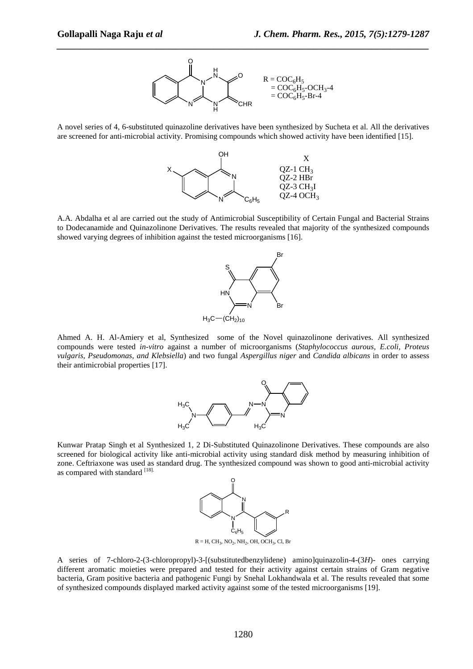

A novel series of 4, 6-substituted quinazoline derivatives have been synthesized by Sucheta et al. All the derivatives are screened for anti-microbial activity. Promising compounds which showed activity have been identified [15].



A.A. Abdalha et al are carried out the study of Antimicrobial Susceptibility of Certain Fungal and Bacterial Strains to Dodecanamide and Quinazolinone Derivatives. The results revealed that majority of the synthesized compounds showed varying degrees of inhibition against the tested microorganisms [16].



Ahmed A. H. Al-Amiery et al, Synthesized some of the Novel quinazolinone derivatives. All synthesized compounds were tested *in-vitro* against a number of microorganisms (*Staphylococcus aurous, E.coli, Proteus vulgaris, Pseudomonas, and Klebsiella*) and two fungal *Aspergillus niger* and *Candida albicans* in order to assess their antimicrobial properties [17].



Kunwar Pratap Singh et al Synthesized 1, 2 Di-Substituted Quinazolinone Derivatives. These compounds are also screened for biological activity like anti-microbial activity using standard disk method by measuring inhibition of zone. Ceftriaxone was used as standard drug. The synthesized compound was shown to good anti-microbial activity as compared with standard [18].



 $R = H$ , CH<sub>3</sub>, NO<sub>2</sub>, NH<sub>2</sub>, OH, OCH<sub>3</sub>, Cl, Br

A series of 7-chloro-2-(3-chloropropyl)-3-[(substitutedbenzylidene) amino]quinazolin-4-(3*H*)- ones carrying different aromatic moieties were prepared and tested for their activity against certain strains of Gram negative bacteria, Gram positive bacteria and pathogenic Fungi by Snehal Lokhandwala et al. The results revealed that some of synthesized compounds displayed marked activity against some of the tested microorganisms [19].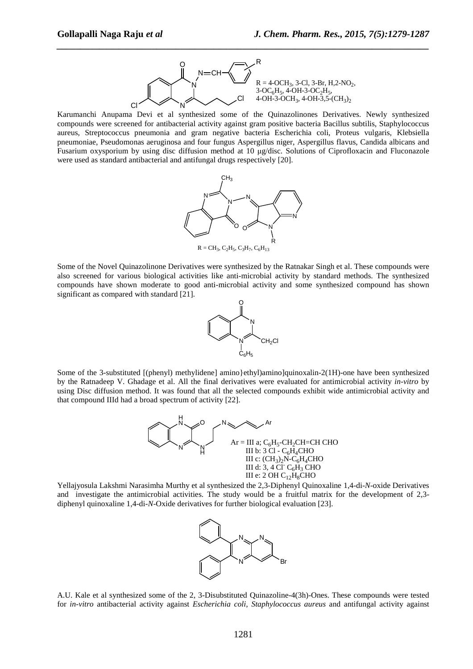

Karumanchi Anupama Devi et al synthesized some of the Quinazolinones Derivatives. Newly synthesized compounds were screened for antibacterial activity against gram positive bacteria Bacillus subtilis, Staphylococcus aureus, Streptococcus pneumonia and gram negative bacteria Escherichia coli, Proteus vulgaris, Klebsiella pneumoniae, Pseudomonas aeruginosa and four fungus Aspergillus niger, Aspergillus flavus, Candida albicans and Fusarium oxysporium by using disc diffusion method at 10 µg/disc. Solutions of Ciprofloxacin and Fluconazole were used as standard antibacterial and antifungal drugs respectively [20].



Some of the Novel Quinazolinone Derivatives were synthesized by the Ratnakar Singh et al. These compounds were also screened for various biological activities like anti-microbial activity by standard methods. The synthesized compounds have shown moderate to good anti-microbial activity and some synthesized compound has shown significant as compared with standard [21].



Some of the 3-substituted [(phenyl) methylidene] amino}ethyl)amino]quinoxalin-2(1H)-one have been synthesized by the Ratnadeep V. Ghadage et al. All the final derivatives were evaluated for antimicrobial activity *in-vitro* by using Disc diffusion method. It was found that all the selected compounds exhibit wide antimicrobial activity and that compound IIId had a broad spectrum of activity [22].



Yellajyosula Lakshmi Narasimha Murthy et al synthesized the 2,3-Diphenyl Quinoxaline 1,4-di-*N*-oxide Derivatives and investigate the antimicrobial activities. The study would be a fruitful matrix for the development of 2,3 diphenyl quinoxaline 1,4-di-*N*-Oxide derivatives for further biological evaluation [23].



A.U. Kale et al synthesized some of the 2, 3-Disubstituted Quinazoline-4(3h)-Ones. These compounds were tested for *in-vitro* antibacterial activity against *Escherichia coli, Staphylococcus aureus* and antifungal activity against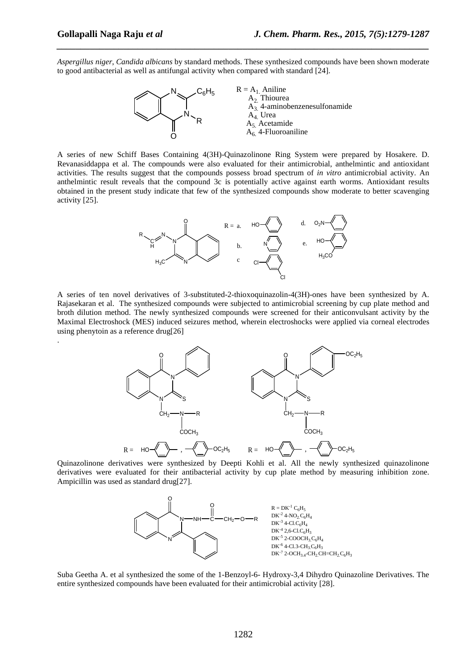.

*Aspergillus niger*, *Candida albicans* by standard methods. These synthesized compounds have been shown moderate to good antibacterial as well as antifungal activity when compared with standard [24].

*\_\_\_\_\_\_\_\_\_\_\_\_\_\_\_\_\_\_\_\_\_\_\_\_\_\_\_\_\_\_\_\_\_\_\_\_\_\_\_\_\_\_\_\_\_\_\_\_\_\_\_\_\_\_\_\_\_\_\_\_\_\_\_\_\_\_\_\_\_\_\_\_\_\_\_\_\_\_*



A series of new Schiff Bases Containing 4(3H)-Quinazolinone Ring System were prepared by Hosakere. D. Revanasiddappa et al. The compounds were also evaluated for their antimicrobial, anthelmintic and antioxidant activities. The results suggest that the compounds possess broad spectrum of *in vitro* antimicrobial activity. An anthelmintic result reveals that the compound 3c is potentially active against earth worms. Antioxidant results obtained in the present study indicate that few of the synthesized compounds show moderate to better scavenging activity [25].



A series of ten novel derivatives of 3-substituted-2-thioxoquinazolin-4(3H)-ones have been synthesized by A. Rajasekaran et al. The synthesized compounds were subjected to antimicrobial screening by cup plate method and broth dilution method. The newly synthesized compounds were screened for their anticonvulsant activity by the Maximal Electroshock (MES) induced seizures method, wherein electroshocks were applied via corneal electrodes using phenytoin as a reference drug[26]



Quinazolinone derivatives were synthesized by Deepti Kohli et al. All the newly synthesized quinazolinone derivatives were evaluated for their antibacterial activity by cup plate method by measuring inhibition zone. Ampicillin was used as standard drug[27].



Suba Geetha A. et al synthesized the some of the 1-Benzoyl-6- Hydroxy-3,4 Dihydro Quinazoline Derivatives. The entire synthesized compounds have been evaluated for their antimicrobial activity [28].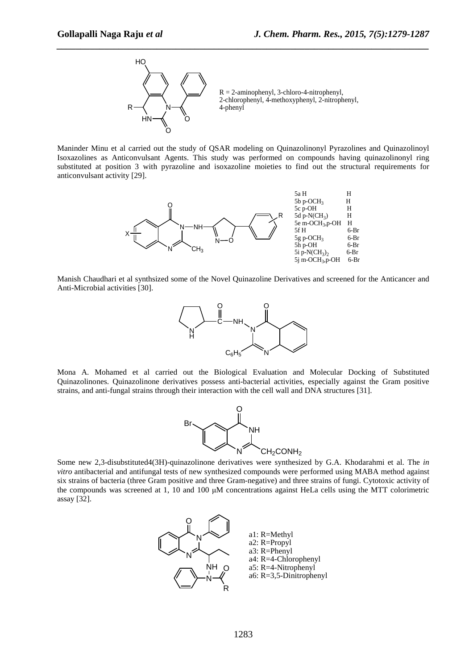

Maninder Minu et al carried out the study of QSAR modeling on Quinazolinonyl Pyrazolines and Quinazolinoyl Isoxazolines as Anticonvulsant Agents. This study was performed on compounds having quinazolinonyl ring substituted at position 3 with pyrazoline and isoxazoline moieties to find out the structural requirements for anticonvulsant activity [29].



Manish Chaudhari et al synthsized some of the Novel Quinazoline Derivatives and screened for the Anticancer and Anti-Microbial activities [30].



Mona A. Mohamed et al carried out the Biological Evaluation and Molecular Docking of Substituted Quinazolinones. Quinazolinone derivatives possess anti-bacterial activities, especially against the Gram positive strains, and anti-fungal strains through their interaction with the cell wall and DNA structures [31].



Some new 2,3-disubstituted4(3H)-quinazolinone derivatives were synthesized by G.A. Khodarahmi et al. The *in vitro* antibacterial and antifungal tests of new synthesized compounds were performed using MABA method against six strains of bacteria (three Gram positive and three Gram-negative) and three strains of fungi. Cytotoxic activity of the compounds was screened at 1, 10 and 100 µM concentrations against HeLa cells using the MTT colorimetric assay [32].

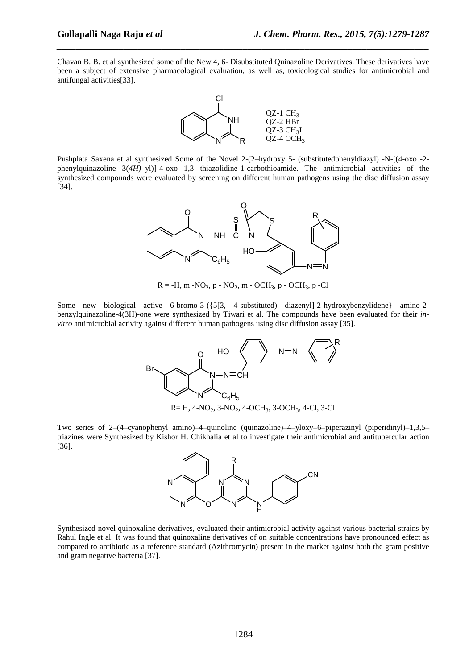Chavan B. B. et al synthesized some of the New 4, 6- Disubstituted Quinazoline Derivatives. These derivatives have been a subject of extensive pharmacological evaluation, as well as, toxicological studies for antimicrobial and antifungal activities[33].

*\_\_\_\_\_\_\_\_\_\_\_\_\_\_\_\_\_\_\_\_\_\_\_\_\_\_\_\_\_\_\_\_\_\_\_\_\_\_\_\_\_\_\_\_\_\_\_\_\_\_\_\_\_\_\_\_\_\_\_\_\_\_\_\_\_\_\_\_\_\_\_\_\_\_\_\_\_\_*



Pushplata Saxena et al synthesized Some of the Novel 2-(2–hydroxy 5- (substitutedphenyldiazyl) -N-[(4-oxo -2 phenylquinazoline 3(*4H)–*yl)]-4-oxo 1,3 thiazolidine-1-carbothioamide. The antimicrobial activities of the synthesized compounds were evaluated by screening on different human pathogens using the disc diffusion assay [34].



 $R = -H$ , m  $-NO_2$ , p  $-NO_2$ , m  $- OCH_3$ , p  $- OCH_3$ , p  $- Cl$ 

Some new biological active 6-bromo-3-({5[3, 4-substituted) diazenyl]-2-hydroxybenzylidene} amino-2 benzylquinazoline-4(3H)-one were synthesized by Tiwari et al. The compounds have been evaluated for their *invitro* antimicrobial activity against different human pathogens using disc diffusion assay [35].



Two series of 2–(4–cyanophenyl amino)–4–quinoline (quinazoline)–4–yloxy–6–piperazinyl (piperidinyl)–1,3,5– triazines were Synthesized by Kishor H. Chikhalia et al to investigate their antimicrobial and antitubercular action [36].



Synthesized novel quinoxaline derivatives, evaluated their antimicrobial activity against various bacterial strains by Rahul Ingle et al. It was found that quinoxaline derivatives of on suitable concentrations have pronounced effect as compared to antibiotic as a reference standard (Azithromycin) present in the market against both the gram positive and gram negative bacteria [37].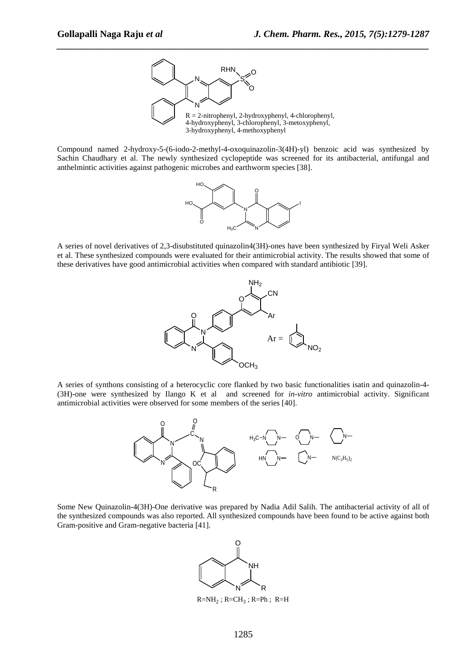

Compound named 2-hydroxy-5-(6-iodo-2-methyl-4-oxoquinazolin-3(4H)-yl) benzoic acid was synthesized by Sachin Chaudhary et al. The newly synthesized cyclopeptide was screened for its antibacterial, antifungal and anthelmintic activities against pathogenic microbes and earthworm species [38].



A series of novel derivatives of 2,3-disubstituted quinazolin4(3H)-ones have been synthesized by Firyal Weli Asker et al. These synthesized compounds were evaluated for their antimicrobial activity. The results showed that some of these derivatives have good antimicrobial activities when compared with standard antibiotic [39].



A series of synthons consisting of a heterocyclic core flanked by two basic functionalities isatin and quinazolin-4- (3H)-one were synthesized by Ilango K et al and screened for *in-vitro* antimicrobial activity. Significant antimicrobial activities were observed for some members of the series [40].



Some New Quinazolin-4(3H)-One derivative was prepared by Nadia Adil Salih. The antibacterial activity of all of the synthesized compounds was also reported. All synthesized compounds have been found to be active against both Gram-positive and Gram-negative bacteria [41].



 $R=NH_2$ ; R=CH<sub>3</sub>; R=Ph; R=H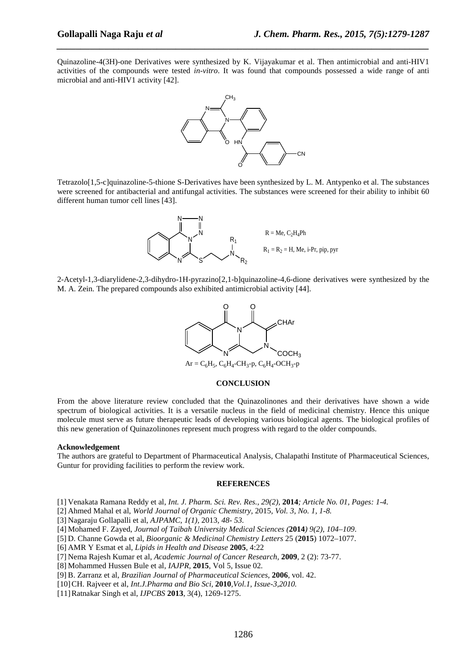Quinazoline-4(3H)-one Derivatives were synthesized by K. Vijayakumar et al. Then antimicrobial and anti-HIV1 activities of the compounds were tested *in-vitro*. It was found that compounds possessed a wide range of anti microbial and anti-HIV1 activity [42].

*\_\_\_\_\_\_\_\_\_\_\_\_\_\_\_\_\_\_\_\_\_\_\_\_\_\_\_\_\_\_\_\_\_\_\_\_\_\_\_\_\_\_\_\_\_\_\_\_\_\_\_\_\_\_\_\_\_\_\_\_\_\_\_\_\_\_\_\_\_\_\_\_\_\_\_\_\_\_*



Tetrazolo[1,5-c]quinazoline-5-thione S-Derivatives have been synthesized by L. M. Antypenko et al. The substances were screened for antibacterial and antifungal activities. The substances were screened for their ability to inhibit 60 different human tumor cell lines [43].



2-Acetyl-1,3-diarylidene-2,3-dihydro-1H-pyrazino[2,1-b]quinazoline-4,6-dione derivatives were synthesized by the M. A. Zein. The prepared compounds also exhibited antimicrobial activity [44].



#### **CONCLUSION**

From the above literature review concluded that the Quinazolinones and their derivatives have shown a wide spectrum of biological activities. It is a versatile nucleus in the field of medicinal chemistry. Hence this unique molecule must serve as future therapeutic leads of developing various biological agents. The biological profiles of this new generation of Quinazolinones represent much progress with regard to the older compounds.

#### **Acknowledgement**

The authors are grateful to Department of Pharmaceutical Analysis, Chalapathi Institute of Pharmaceutical Sciences, Guntur for providing facilities to perform the review work.

#### **REFERENCES**

- [1] Venakata Ramana Reddy et al, *Int. J. Pharm. Sci. Rev. Res., 29(2),* **2014***; Article No. 01, Pages: 1-4.*
- [2] Ahmed Mahal et al, *World Journal of Organic Chemistry,* 2015*, Vol. 3, No. 1, 1-8.*
- [3] Nagaraju Gollapalli et al, *AJPAMC, 1(1),* 2013*, 48- 53.*
- [4] Mohamed F. Zayed, *Journal of Taibah University Medical Sciences (***2014***) 9(2), 104–109*.
- [5] D. Channe Gowda et al, *Bioorganic & Medicinal Chemistry Letters* 25 (**2015**) 1072–1077.
- [6] AMR Y Esmat et al, *Lipids in Health and Disease* **2005**, 4:22
- [7] Nema Rajesh Kumar et al, *Academic Journal of Cancer Research,* **2009**, 2 (2): 73-77.
- [8] Mohammed Hussen Bule et al, *IAJPR*, **2015**, Vol 5, Issue 02*.*
- [9] B. Zarranz et al, *Brazilian Journal of Pharmaceutical Sciences*, **2006**, vol. 42.
- [10]CH. Rajveer et al, *Int.J.Pharma and Bio Sci,* **2010***,Vol.1, Issue-3,2010.*
- [11]Ratnakar Singh et al, *IJPCBS* **2013**, 3(4), 1269-1275.